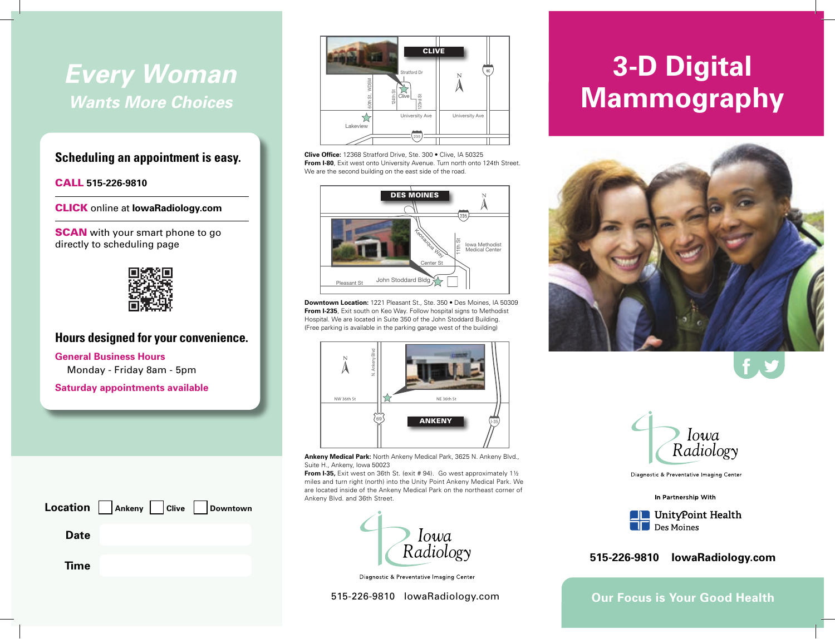## *Every Woman Wants More Choices*

## **Scheduling an appointment is easy.**

#### CALL **515-226-9810**

CLICK online at **IowaRadiology.com**

**SCAN** with your smart phone to go directly to scheduling page



## **Hours designed for your convenience.**

**General Business Hours** Monday - Friday 8am - 5pm

**Saturday appointments available**





**Clive Office:** 12368 Stratford Drive, Ste. 300 • Clive, IA 50325 **From I-80**, Exit west onto University Avenue. Turn north onto 124th Street. We are the second building on the east side of the road.



**Downtown Location:** 1221 Pleasant St., Ste. 350 • Des Moines, IA 50309 **From I-235**, Exit south on Keo Way. Follow hospital signs to Methodist Hospital. We are located in Suite 350 of the John Stoddard Building. (Free parking is available in the parking garage west of the building)



**Ankeny Medical Park:** North Ankeny Medical Park, 3625 N. Ankeny Blvd., Suite H., Ankeny, Iowa 50023

**From I-35,** Exit west on 36th St. (exit # 94). Go west approximately 11/2 miles and turn right (north) into the Unity Point Ankeny Medical Park. We are located inside of the Ankeny Medical Park on the northeast corner of



Diagnostic & Preventative Imaging Center

515-226-9810 IowaRadiology.com

# **3-D Digital Mammography**





Diagnostic & Preventative Imaging Center



 $\blacksquare$  Des Moines

## **515-226-9810 IowaRadiology.com**

**Our Focus is Your Good Health**